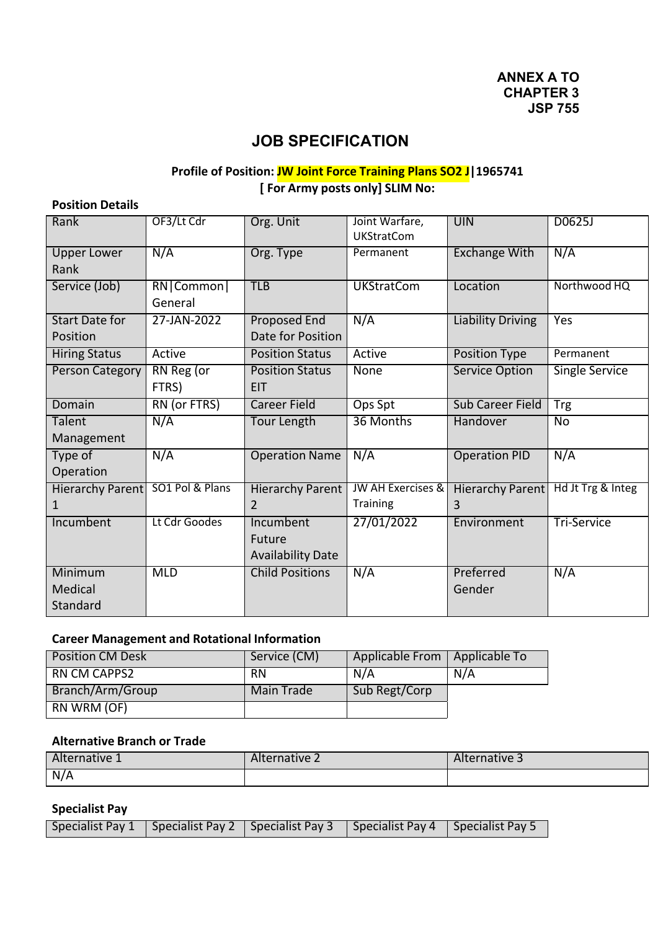# **JOB SPECIFICATION**

# **Profile of Position: JW Joint Force Training Plans SO2 J|1965741 [ For Army posts only] SLIM No:**

#### **Position Details**

| Rank                              | OF3/Lt Cdr               | Org. Unit                                       | Joint Warfare,<br><b>UKStratCom</b>      | <b>UIN</b>                              | D0625J                |
|-----------------------------------|--------------------------|-------------------------------------------------|------------------------------------------|-----------------------------------------|-----------------------|
| <b>Upper Lower</b><br>Rank        | N/A                      | Org. Type                                       | Permanent                                | <b>Exchange With</b>                    | N/A                   |
| Service (Job)                     | RN   Common  <br>General | <b>TLB</b>                                      | <b>UKStratCom</b>                        | Location                                | Northwood HQ          |
| <b>Start Date for</b><br>Position | 27-JAN-2022              | <b>Proposed End</b><br>Date for Position        | N/A                                      | <b>Liability Driving</b>                | Yes                   |
| <b>Hiring Status</b>              | Active                   | <b>Position Status</b>                          | Active                                   | Position Type                           | Permanent             |
| <b>Person Category</b>            | RN Reg (or<br>FTRS)      | <b>Position Status</b><br><b>EIT</b>            | <b>None</b>                              | <b>Service Option</b>                   | <b>Single Service</b> |
| Domain                            | RN (or FTRS)             | <b>Career Field</b>                             | Ops Spt                                  | <b>Sub Career Field</b>                 | <b>Trg</b>            |
| <b>Talent</b><br>Management       | N/A                      | <b>Tour Length</b>                              | 36 Months                                | Handover                                | No                    |
| Type of<br>Operation              | N/A                      | <b>Operation Name</b>                           | N/A                                      | <b>Operation PID</b>                    | N/A                   |
| <b>Hierarchy Parent</b><br>1      | SO1 Pol & Plans          | <b>Hierarchy Parent</b><br>2                    | <b>JW AH Exercises &amp;</b><br>Training | Hierarchy Parent Hd Jt Trg & Integ<br>3 |                       |
| Incumbent                         | Lt Cdr Goodes            | Incumbent<br>Future<br><b>Availability Date</b> | 27/01/2022                               | Environment                             | <b>Tri-Service</b>    |
| Minimum<br>Medical<br>Standard    | <b>MLD</b>               | <b>Child Positions</b>                          | N/A                                      | Preferred<br>Gender                     | N/A                   |

#### **Career Management and Rotational Information**

| <b>Position CM Desk</b> | Service (CM)      | Applicable From   Applicable To |     |
|-------------------------|-------------------|---------------------------------|-----|
| RN CM CAPPS2            | <b>RN</b>         | N/A                             | N/A |
| Branch/Arm/Group        | <b>Main Trade</b> | Sub Regt/Corp                   |     |
| RN WRM (OF)             |                   |                                 |     |

### **Alternative Branch or Trade**

| Alternative 1 | * Alternative ∠ | Alternative 3 |
|---------------|-----------------|---------------|
| N/A           |                 |               |

### **Specialist Pay**

|  | Specialist Pay 1   Specialist Pay 2   Specialist Pay 3   Specialist Pay 4   Specialist Pay 5 |  |
|--|----------------------------------------------------------------------------------------------|--|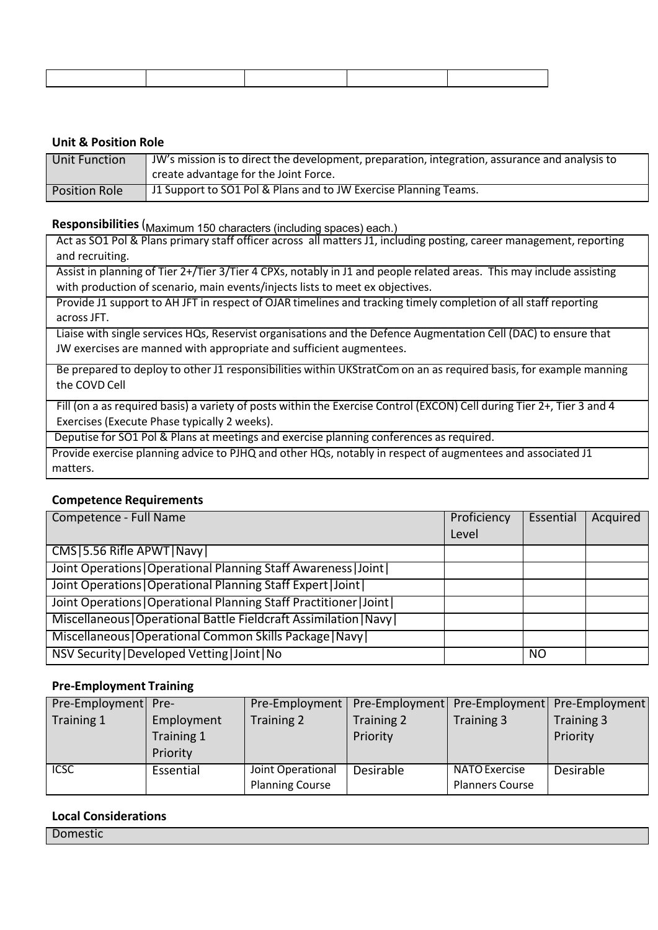#### **Unit & Position Role**

| Unit Function        | JW's mission is to direct the development, preparation, integration, assurance and analysis to |
|----------------------|------------------------------------------------------------------------------------------------|
|                      | create advantage for the Joint Force.                                                          |
| <b>Position Role</b> | J1 Support to SO1 Pol & Plans and to JW Exercise Planning Teams.                               |

## **Responsibilities**(Maximum 150 characters (including spaces) each.)

Act as SO1 Pol & Plans primary staff officer across all matters J1, including posting, career management, reporting and recruiting.

Assist in planning of Tier 2+/Tier 3/Tier 4 CPXs, notably in J1 and people related areas. This may include assisting with production of scenario, main events/injects lists to meet ex objectives.

Provide J1 support to AH JFT in respect of OJAR timelines and tracking timely completion of all staff reporting across JFT.

Liaise with single services HQs, Reservist organisations and the Defence Augmentation Cell (DAC) to ensure that JW exercises are manned with appropriate and sufficient augmentees.

Be prepared to deploy to other J1 responsibilities within UKStratCom on an as required basis, for example manning the COVD Cell

Fill (on a as required basis) a variety of posts within the Exercise Control (EXCON) Cell during Tier 2+, Tier 3 and 4 Exercises (Execute Phase typically 2 weeks).

Deputise for SO1 Pol & Plans at meetings and exercise planning conferences as required.

Provide exercise planning advice to PJHQ and other HQs, notably in respect of augmentees and associated J1 matters.

#### **Competence Requirements**

| Competence - Full Name                                             | Proficiency | Essential | Acquired |
|--------------------------------------------------------------------|-------------|-----------|----------|
|                                                                    | Level       |           |          |
| CMS 5.56 Rifle APWT   Navy                                         |             |           |          |
| Joint Operations   Operational Planning Staff Awareness   Joint    |             |           |          |
| Joint Operations   Operational Planning Staff Expert   Joint       |             |           |          |
| Joint Operations   Operational Planning Staff Practitioner   Joint |             |           |          |
| Miscellaneous   Operational Battle Fieldcraft Assimilation   Navy  |             |           |          |
| Miscellaneous   Operational Common Skills Package   Navy           |             |           |          |
| NSV Security   Developed Vetting   Joint   No                      |             | <b>NO</b> |          |

#### **Pre‐Employment Training**

| Pre-Employment Pre- |                        | Pre-Employment                              |            |                                                | Pre-Employment   Pre-Employment   Pre-Employment |
|---------------------|------------------------|---------------------------------------------|------------|------------------------------------------------|--------------------------------------------------|
| Training 1          | Employment             | Training 2                                  | Training 2 | Training 3                                     | Training 3                                       |
|                     | Training 1<br>Priority |                                             | Priority   |                                                | Priority                                         |
| ICSC                | Essential              | Joint Operational<br><b>Planning Course</b> | Desirable  | <b>NATO Exercise</b><br><b>Planners Course</b> | Desirable                                        |

#### **Local Considerations**

**Domestic**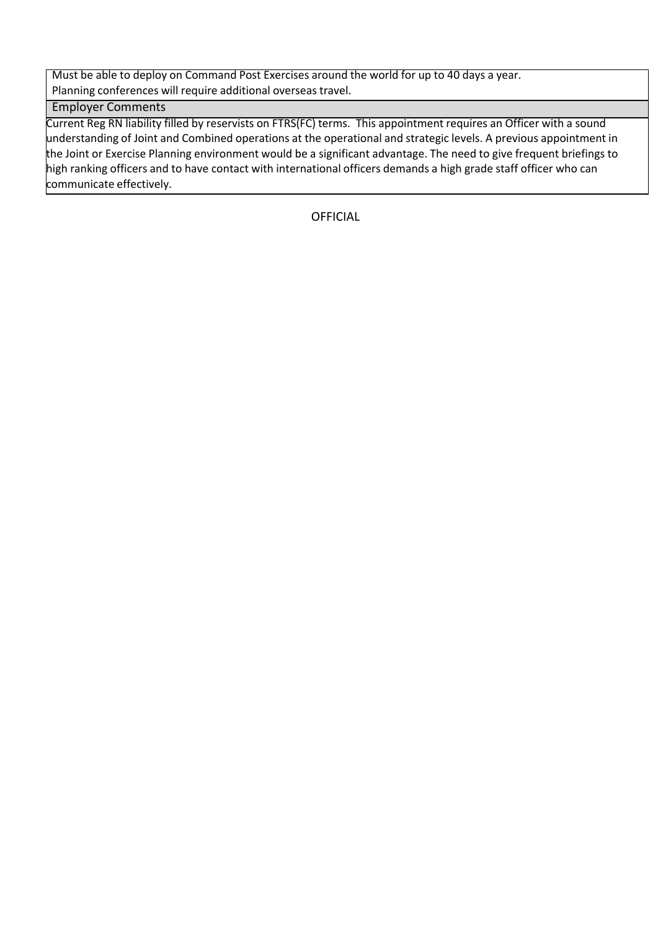Must be able to deploy on Command Post Exercises around the world for up to 40 days a year. Planning conferences will require additional overseas travel.

Employer Comments

Current Reg RN liability filled by reservists on FTRS(FC) terms. This appointment requires an Officer with a sound understanding of Joint and Combined operations at the operational and strategic levels. A previous appointment in the Joint or Exercise Planning environment would be a significant advantage. The need to give frequent briefings to high ranking officers and to have contact with international officers demands a high grade staff officer who can communicate effectively.

OFFICIAL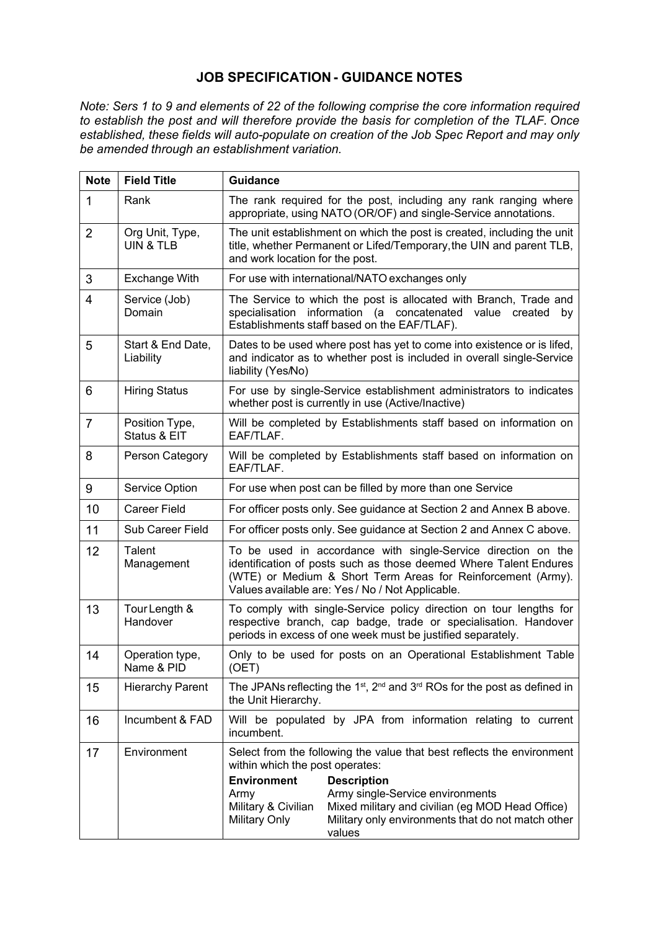# **JOB SPECIFICATION GUIDANCE NOTES**

*Note: Sers 1 to 9 and elements of 22 of the following comprise the core information required to establish the post and will therefore provide the basis for completion of the TLAF. Once established, these fields will autopopulate on creation of the Job Spec Report and may only be amended through an establishment variation.*

| <b>Note</b>    | <b>Field Title</b>             | <b>Guidance</b>                                                                                                                                                                                                                                                                                                                                                      |
|----------------|--------------------------------|----------------------------------------------------------------------------------------------------------------------------------------------------------------------------------------------------------------------------------------------------------------------------------------------------------------------------------------------------------------------|
| $\mathbf{1}$   | Rank                           | The rank required for the post, including any rank ranging where<br>appropriate, using NATO (OR/OF) and single-Service annotations.                                                                                                                                                                                                                                  |
| $\overline{2}$ | Org Unit, Type,<br>UIN & TLB   | The unit establishment on which the post is created, including the unit<br>title, whether Permanent or Lifed/Temporary, the UIN and parent TLB,<br>and work location for the post.                                                                                                                                                                                   |
| 3              | <b>Exchange With</b>           | For use with international/NATO exchanges only                                                                                                                                                                                                                                                                                                                       |
| $\overline{4}$ | Service (Job)<br>Domain        | The Service to which the post is allocated with Branch, Trade and<br>specialisation information (a concatenated value created<br>by<br>Establishments staff based on the EAF/TLAF).                                                                                                                                                                                  |
| 5              | Start & End Date,<br>Liability | Dates to be used where post has yet to come into existence or is lifed,<br>and indicator as to whether post is included in overall single-Service<br>liability (Yes/No)                                                                                                                                                                                              |
| 6              | <b>Hiring Status</b>           | For use by single-Service establishment administrators to indicates<br>whether post is currently in use (Active/Inactive)                                                                                                                                                                                                                                            |
| $\overline{7}$ | Position Type,<br>Status & EIT | Will be completed by Establishments staff based on information on<br>EAF/TLAF.                                                                                                                                                                                                                                                                                       |
| 8              | Person Category                | Will be completed by Establishments staff based on information on<br>EAF/TLAF.                                                                                                                                                                                                                                                                                       |
| 9              | Service Option                 | For use when post can be filled by more than one Service                                                                                                                                                                                                                                                                                                             |
| 10             | <b>Career Field</b>            | For officer posts only. See guidance at Section 2 and Annex B above.                                                                                                                                                                                                                                                                                                 |
| 11             | <b>Sub Career Field</b>        | For officer posts only. See guidance at Section 2 and Annex C above.                                                                                                                                                                                                                                                                                                 |
| 12             | Talent<br>Management           | To be used in accordance with single-Service direction on the<br>identification of posts such as those deemed Where Talent Endures<br>(WTE) or Medium & Short Term Areas for Reinforcement (Army).<br>Values available are: Yes / No / Not Applicable.                                                                                                               |
| 13             | Tour Length &<br>Handover      | To comply with single-Service policy direction on tour lengths for<br>respective branch, cap badge, trade or specialisation. Handover<br>periods in excess of one week must be justified separately.                                                                                                                                                                 |
| 14             | Operation type,<br>Name & PID  | Only to be used for posts on an Operational Establishment Table<br>(OET)                                                                                                                                                                                                                                                                                             |
| 15             | <b>Hierarchy Parent</b>        | The JPANs reflecting the 1 <sup>st</sup> , 2 <sup>nd</sup> and 3 <sup>rd</sup> ROs for the post as defined in<br>the Unit Hierarchy.                                                                                                                                                                                                                                 |
| 16             | Incumbent & FAD                | Will be populated by JPA from information relating to current<br>incumbent.                                                                                                                                                                                                                                                                                          |
| 17             | Environment                    | Select from the following the value that best reflects the environment<br>within which the post operates:<br><b>Environment</b><br><b>Description</b><br>Army single-Service environments<br>Army<br>Mixed military and civilian (eg MOD Head Office)<br>Military & Civilian<br><b>Military Only</b><br>Military only environments that do not match other<br>values |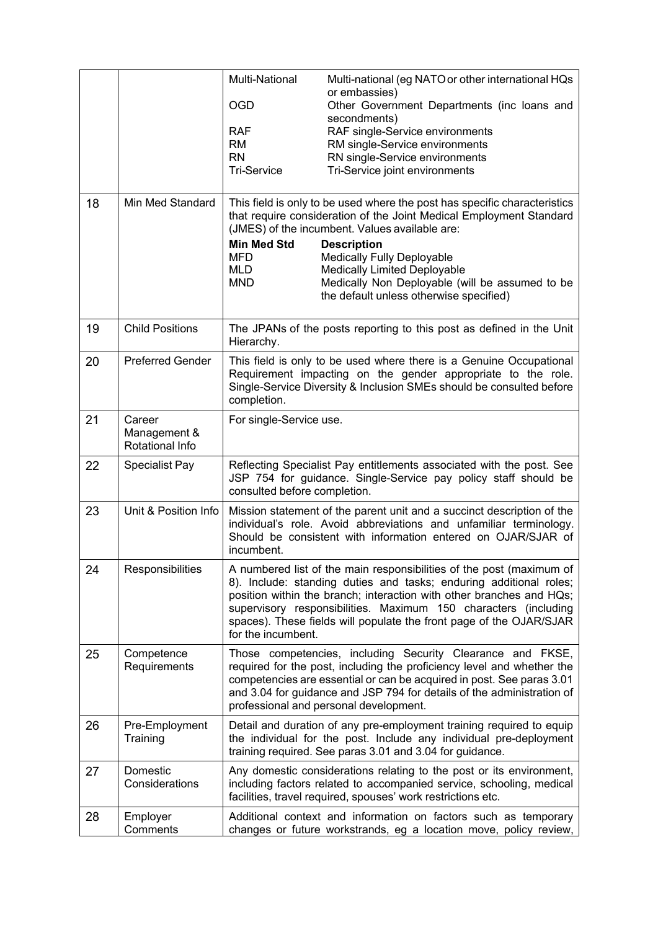|    |                                           | Multi-National<br>Multi-national (eg NATO or other international HQs<br>or embassies)<br><b>OGD</b><br>Other Government Departments (inc loans and<br>secondments)<br>RAF single-Service environments<br><b>RAF</b><br>RM single-Service environments<br><b>RM</b><br>RN single-Service environments<br><b>RN</b><br>Tri-Service<br>Tri-Service joint environments                                                                                          |
|----|-------------------------------------------|-------------------------------------------------------------------------------------------------------------------------------------------------------------------------------------------------------------------------------------------------------------------------------------------------------------------------------------------------------------------------------------------------------------------------------------------------------------|
| 18 | Min Med Standard                          | This field is only to be used where the post has specific characteristics<br>that require consideration of the Joint Medical Employment Standard<br>(JMES) of the incumbent. Values available are:<br><b>Min Med Std</b><br><b>Description</b><br><b>Medically Fully Deployable</b><br><b>MFD</b><br><b>Medically Limited Deployable</b><br>MLD<br>Medically Non Deployable (will be assumed to be<br><b>MND</b><br>the default unless otherwise specified) |
| 19 | <b>Child Positions</b>                    | The JPANs of the posts reporting to this post as defined in the Unit<br>Hierarchy.                                                                                                                                                                                                                                                                                                                                                                          |
| 20 | <b>Preferred Gender</b>                   | This field is only to be used where there is a Genuine Occupational<br>Requirement impacting on the gender appropriate to the role.<br>Single-Service Diversity & Inclusion SMEs should be consulted before<br>completion.                                                                                                                                                                                                                                  |
| 21 | Career<br>Management &<br>Rotational Info | For single-Service use.                                                                                                                                                                                                                                                                                                                                                                                                                                     |
| 22 | <b>Specialist Pay</b>                     | Reflecting Specialist Pay entitlements associated with the post. See<br>JSP 754 for guidance. Single-Service pay policy staff should be<br>consulted before completion.                                                                                                                                                                                                                                                                                     |
| 23 | Unit & Position Info                      | Mission statement of the parent unit and a succinct description of the<br>individual's role. Avoid abbreviations and unfamiliar terminology.<br>Should be consistent with information entered on OJAR/SJAR of<br>incumbent.                                                                                                                                                                                                                                 |
| 24 | Responsibilities                          | A numbered list of the main responsibilities of the post (maximum of<br>8). Include: standing duties and tasks; enduring additional roles;<br>position within the branch; interaction with other branches and HQs;<br>supervisory responsibilities. Maximum 150 characters (including<br>spaces). These fields will populate the front page of the OJAR/SJAR<br>for the incumbent.                                                                          |
| 25 | Competence<br>Requirements                | Those competencies, including Security Clearance and FKSE,<br>required for the post, including the proficiency level and whether the<br>competencies are essential or can be acquired in post. See paras 3.01<br>and 3.04 for guidance and JSP 794 for details of the administration of<br>professional and personal development.                                                                                                                           |
| 26 | Pre-Employment<br>Training                | Detail and duration of any pre-employment training required to equip<br>the individual for the post. Include any individual pre-deployment<br>training required. See paras 3.01 and 3.04 for guidance.                                                                                                                                                                                                                                                      |
| 27 | Domestic<br>Considerations                | Any domestic considerations relating to the post or its environment,<br>including factors related to accompanied service, schooling, medical<br>facilities, travel required, spouses' work restrictions etc.                                                                                                                                                                                                                                                |
| 28 | Employer<br>Comments                      | Additional context and information on factors such as temporary<br>changes or future workstrands, eg a location move, policy review,                                                                                                                                                                                                                                                                                                                        |